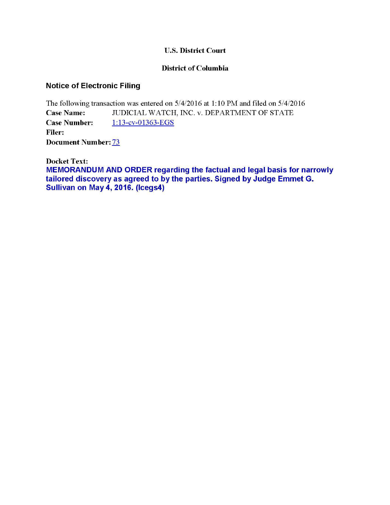## U.S. District Court

## District of Columbia

# Notice of Electronic Filing

The following transaction was entered on 5/4/2016 at 1: 10 PM and filed on 5/4/2016 Case Name: JUDICIAL WATCH, INC. v. DEPARTMENT OF STATE Case Number: 1:13-cv-01363-EGS Filer: Document Number: 73

Docket Text: MEMORANDUM AND ORDER regarding the factual and legal basis for narrowly tailored discovery as agreed to by the parties. Signed by Judge Emmet G. Sullivan on May 4, 2016. (lcegs4)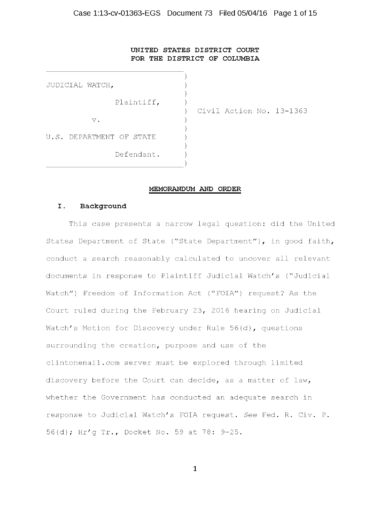## UNITED STATES DISTRICT COURT FOR THE DISTRICT OF COLUMBIA

| JUDICIAL WATCH,          |                          |
|--------------------------|--------------------------|
| Plaintiff,               | Civil Action No. 13-1363 |
| V.                       |                          |
| U.S. DEPARTMENT OF STATE |                          |
| Defendant.               |                          |

## MEMORANDUM AND ORDER

## I. Background

This case presents a narrow legal question: did the United States Department of State ("State Department"), in good faith, conduct a search reasonably calculated to uncover all relevant documents in response to Plaintiff Judicial Watch's ("Judicial Watch") Freedom of Information Act ("FOIA") request? As the Court ruled during the February 23, 2016 hearing on Judicial Watch's Motion for Discovery under Rule 56(d), questions surrounding the creation, purpose and use of the clintonemail.com server must be explored through limited discovery before the Court can decide, as a matter of law, whether the Government has conducted an adequate search in response to Judicial Watch's FOIA request. *See* Fed. R. Civ. P. 56(d); Hr'g Tr., Docket No. 59 at 78: 9-25.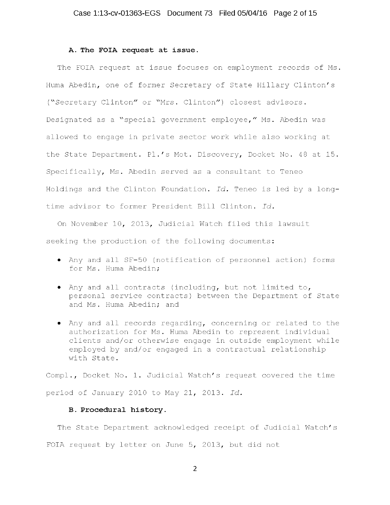#### A. The FOIA request at issue.

The FOIA request at issue focuses on employment records of Ms. Huma Abedin, one of former Secretary of State Hillary Clinton's (~Secretary Clinton" or ~Mrs. Clinton") closest advisors. Designated as a "special government employee," Ms. Abedin was allowed to engage in private sector work while also working at the State Department. Pl.'s Mot. Discovery, Docket No. 48 at 15. Specifically, Ms. Abedin served as a consultant to Teneo Holdings and the Clinton Foundation. *Id.* Teneo is led by a longtime advisor to former President Bill Clinton. *Id.* 

On November 10, 2013, Judicial Watch filed this lawsuit seeking the production of the following documents:

- Any and all SF-50 (notification of personnel action) forms for Ms. Huma Abedin;
- Any and all contracts (including, but not limited to, personal service contracts) between the Department of State and Ms. Huma Abedin; and
- Any and all records regarding, concerning or related to the authorization for Ms. Huma Abedin to represent individual clients and/or otherwise engage in outside employment while employed by and/or engaged in a contractual relationship with State.

Compl., Docket No. 1. Judicial Watch's request covered the time period of January 2010 to May 21, 2013. *Id.* 

#### B. Procedural history.

The State Department acknowledged receipt of Judicial Watch's FOIA request by letter on June 5, 2013, but did not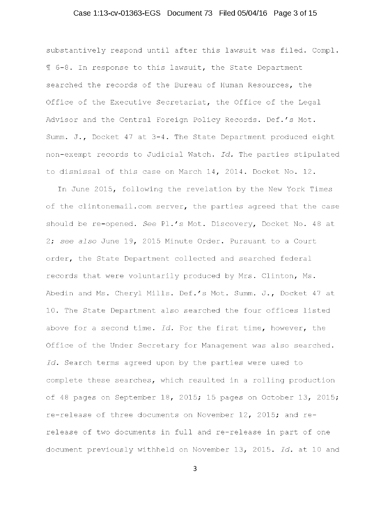## Case 1:13-cv-01363-EGS Document 73 Filed 05/04/16 Page 3 of 15

substantively respond until after this lawsuit was filed. Compl. <sup>~</sup>6-8. In response to this lawsuit, the State Department searched the records of the Bureau of Human Resources, the Office of the Executive Secretariat, the Office of the Legal Advisor and the Central Foreign Policy Records. Def.'s Mot. Summ. J., Docket 47 at 3-4. The State Department produced eight non-exempt records to Judicial Watch. *Id.* The parties stipulated to dismissal of this case on March 14, 2014. Docket No. 12.

In June 2015, following the revelation by the New York Times of the clintonemail.com server, the parties agreed that the case should be re-opened. *See* Pl.'s Mot. Discovery, Docket No. 48 at 2; *see also* June 19, 2015 Minute Order. Pursuant to a Court order, the State Department collected and searched federal records that were voluntarily produced by Mrs. Clinton, Ms. Abedin and Ms. Cheryl Mills. Def.'s Mot. Summ. J., Docket 47 at 10. The State Department also searched the four offices listed above for a second time. *Id.* For the first time, however, the Office of the Under Secretary for Management was also searched. *Id.* Search terms agreed upon by the parties were used to complete these searches, which resulted in a rolling production of 48 pages on September 18, 2015; 15 pages on October 13, 2015; re-release of three documents on November 12, 2015; and rerelease of two documents in full and re-release in part of one document previously withheld on November 13, 2015. *Id.* at 10 and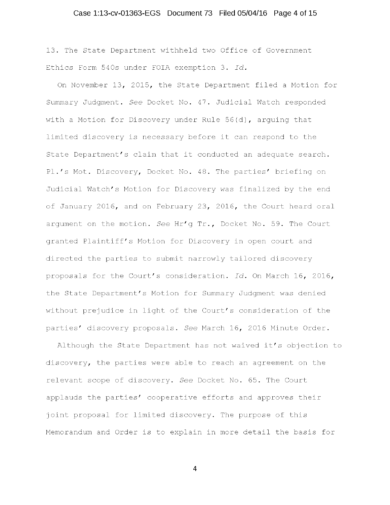## Case 1:13-cv-01363-EGS Document 73 Filed 05/04/16 Page 4 of 15

13. The State Department withheld two Office of Government Ethics Form 540s under FOIA exemption 3. *Id.* 

On November 13, 2015, the State Department filed a Motion for Summary Judgment. *See* Docket No. 47. Judicial Watch responded with a Motion for Discovery under Rule 56(d), arguing that limited discovery is necessary before it can respond to the State Department's claim that it conducted an adequate search. Pl.'s Mot. Discovery, Docket No. 48. The parties' briefing on Judicial Watch's Motion for Discovery was finalized by the end of January 2016, and on February 23, 2016, the Court heard oral argument on the motion. *See* Hr'g Tr., Docket No. 59. The Court granted Plaintiff's Motion for Discovery in open court and directed the parties to submit narrowly tailored discovery proposals for the Court's consideration. *Id.* On March 16, 2016, the State Department's Motion for Summary Judgment was denied without prejudice in light of the Court's consideration of the parties' discovery proposals. *See* March 16, 2016 Minute Order.

Although the State Department has not waived it's objection to discovery, the parties were able to reach an agreement on the relevant scope of discovery. *See* Docket No. 65. The Court applauds the parties' cooperative efforts and approves their joint proposal for limited discovery. The purpose of this Memorandum and Order is to explain in more detail the basis for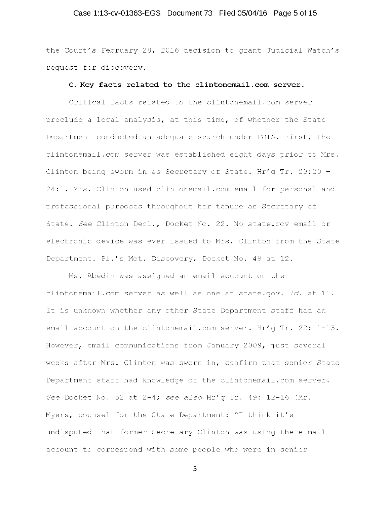## Case 1:13-cv-01363-EGS Document 73 Filed 05/04/16 Page 5 of 15

the Court's February 28, 2016 decision to grant Judicial Watch's request for discovery.

### C. Key facts related to the clintonemail.com server.

Critical facts related to the clintonemail.com server preclude a legal analysis, at this time, of whether the State Department conducted an adequate search under FOIA. First, the clintonemail.com server was established eight days prior to Mrs. Clinton being sworn in as Secretary of State. Hr'g Tr. 23:20 - 24:1. Mrs. Clinton used clintonemail.com email for personal and professional purposes throughout her tenure as Secretary of State. *See* Clinton Deel., Docket No. 22. No state.gov email or electronic device was ever issued to Mrs. Clinton from the State Department. Pl.'s Mot. Discovery, Docket No. 48 at 12.

Ms. Abedin was assigned an email account on the clintonemail.com server as well as one at state.gov. *Id.* at 11. It is unknown whether any other State Department staff had an email account on the clintonemail.com server. Hr'g Tr. 22: 1-13. However, email communications from January 2009, just several weeks after Mrs. Clinton was sworn in, confirm that senior State Department staff had knowledge of the clintonemail.com server. *See* Docket No. 52 at 2-4; *see also* Hr'g Tr. 49: 12-16 (Mr. Myers, counsel for the State Department: "I think it's undisputed that former Secretary Clinton was using the e-mail account to correspond with some people who were in senior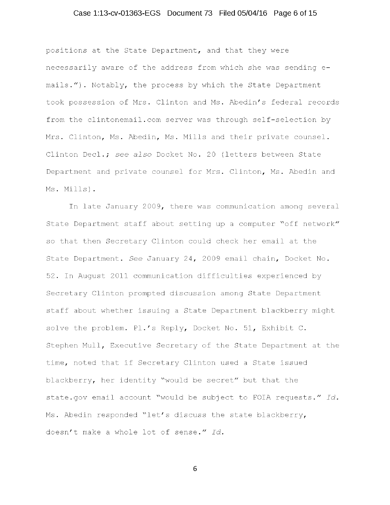## Case 1:13-cv-01363-EGS Document 73 Filed 05/04/16 Page 6 of 15

positions at the State Department, and that they were necessarily aware of the address from which she was sending emails."). Notably, the process by which the State Department took possession of Mrs. Clinton and Ms. Abedin's federal records from the clintonemail.com server was through self-selection by Mrs. Clinton, Ms. Abedin, Ms. Mills and their private counsel. Clinton Deel.; *see also* Docket No. 20 (letters between State Department and private counsel for Mrs. Clinton, Ms. Abedin and Ms. Mills).

In late January 2009, there was communication among several State Department staff about setting up a computer "off network" so that then Secretary Clinton could check her email at the State Department. *See* January 24, 2009 email chain, Docket No. 52. In August 2011 communication difficulties experienced by Secretary Clinton prompted discussion among State Department staff about whether issuing a State Department blackberry might solve the problem. Pl.'s Reply, Docket No. 51, Exhibit C. Stephen Mull, Executive Secretary of the State Department at the time, noted that if Secretary Clinton used a State issued blackberry, her identity "would be secret" but that the state.gov email account "would be subject to FOIA requests." *Id.*  Ms. Abedin responded "let's discuss the state blackberry, doesn't make a whole lot of sense." *Id.*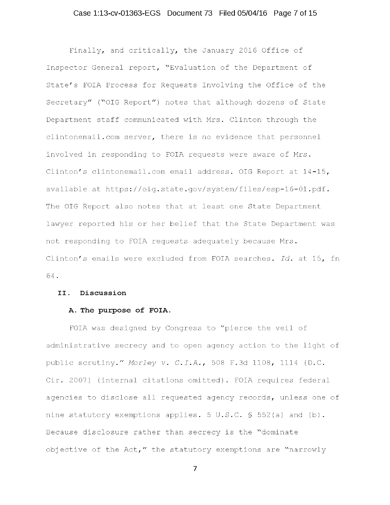## Case 1:13-cv-01363-EGS Document 73 Filed 05/04/16 Page 7 of 15

Finally, and critically, the January 2016 Office of Inspector General report, "Evaluation of the Department of State's FOIA Process for Requests Involving the Office of the Secretary" ("OIG Report") notes that although dozens of State Department staff communicated with Mrs. Clinton through the clintonemail.com server, there is no evidence that personnel involved in responding to FOIA requests were aware of Mrs. Clinton's clintonemail.com email address. OIG Report at 14-15, available at https://oig.state.gov/system/files/esp-16-01.pdf. The OIG Report also notes that at least one State Department lawyer reported his or her belief that the State Department was not responding to FOIA requests adequately because Mrs. Clinton's emails were excluded from FOIA searches. *Id.* at 15, fn 64.

#### II. Discussion

#### A. The purpose of FOIA.

FOIA was designed by Congress to "pierce the veil of administrative secrecy and to open agency action to the light of public scrutiny." *Morley* v. *C.I.A.,* 508 F.3d 1108, 1114 (D.C. Cir. 2007) (internal citations omitted). FOIA requires federal agencies to disclose all requested agency records, unless one of nine statutory exemptions applies. 5 U.S.C. § 552(a) and (b). Because disclosure rather than secrecy is the "dominate objective of the Act," the statutory exemptions are "narrowly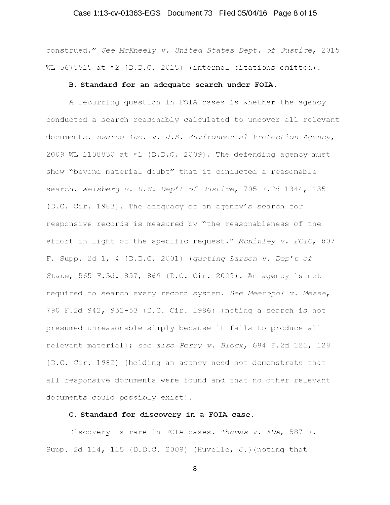## Case 1:13-cv-01363-EGS Document 73 Filed 05/04/16 Page 8 of 15

construed." *See McKneely v. United States Dept. of Justice,* 2015 WL 5675515 at \*2 (D.D.C. 2015) (internal citations omitted).

#### B. Standard for an adequate search under FOIA.

A recurring question in FOIA cases is whether the agency conducted a search reasonably calculated to uncover all relevant documents. *Asarco Inc. v. U.S. Environmental Protection Agency,*  2009 WL 1138830 at  $*1$  (D.D.C. 2009). The defending agency must show "beyond material doubt" that it conducted a reasonable search. *Weisberg v. U.S. Dep't of Justice,* 705 F.2d 1344, 1351 (D.C. Cir. 1983). The adequacy of an agency's search for responsive records is measured by "the reasonableness of the effort in light of the specific request." *McKinley v. FCIC,* <sup>807</sup> F. Supp. 2d 1, 4 (D.D.C. 2001) *(quoting Larson v. Dep't of State,* 565 F.3d. 857, 869 (D.C. Cir. 2009). An agency is not required to search every record system. *See Meeropol v. Messe,*  790 F.2d 942, 952-53 (D.C. Cir. 1986) (noting a search is not presumed unreasonable simply because it fails to produce all relevant material); *see also Perry v. Block,* 684 F.2d 121, 128 (D.C. Cir. 1982) (holding an agency need not demonstrate that all responsive documents were found and that no other relevant documents could possibly exist).

#### C. Standard for discovery in a FOIA case.

Discovery is rare in FOIA cases. *Thomas v. FDA,* 587 F. Supp. 2d 114, 115 (D.D.C. 2008) (Huvelle, J.) (noting that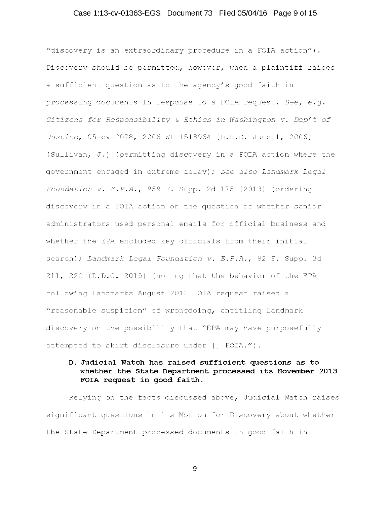## Case 1:13-cv-01363-EGS Document 73 Filed 05/04/16 Page 9 of 15

~discovery is an extraordinary procedure in a FOIA action"). Discovery should be permitted, however, when a plaintiff raises a sufficient question as to the agency's good faith in processing documents in response to a FOIA request. *See, e.g. Citizens for Responsibility* & *Ethics in Washington* v. *Dep't of*  Justice, 05-cv-2078, 2006 WL 1518964 (D.D.C. June 1, 2006) (Sullivan, J.) (permitting discovery in a FOIA action where the government engaged in extreme delay); *see also Landmark Legal Foundation* v. *E.P.A.,* 959 F. Supp. 2d 175 (2013) (ordering discovery in a FOIA action on the question of whether senior administrators used personal emails for official business and whether the EPA excluded key officials from their initial search); *Landmark Legal Foundation* v. *E.P.A.,* 82 F. Supp. 3d 211, 220 (D.D.C. 2015) (noting that the behavior of the EPA following Landmarks August 2012 FOIA request raised a "reasonable suspicion" of wrongdoing, entitling Landmark discovery on the possibility that "EPA may have purposefully attempted to skirt disclosure under [] FOIA.").

## D. Judicial Watch has raised sufficient questions as to whether the State Department processed its November 2013 FOIA request in good faith.

Relying on the facts discussed above, Judicial Watch raises significant questions in its Motion for Discovery about whether the State Department processed documents in good faith in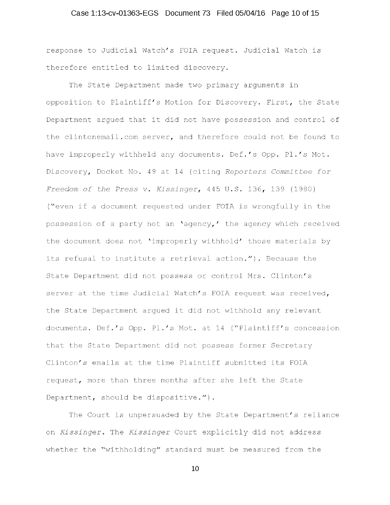## Case 1:13-cv-01363-EGS Document 73 Filed 05/04/16 Page 10 of 15

response to Judicial Watch's FOIA request. Judicial Watch is therefore entitled to limited discovery.

The State Department made two primary arguments in opposition to Plaintiff's Motion for Discovery. First, the State Department argued that it did not have possession and control of the clintonemail.com server, and therefore could not be found to have improperly withheld any documents. Def.'s Opp. Pl.'s Mot. Discovery, Docket No. 49 at 14 (citing *Reporters Committee for Freedom of the Press* v. *Kissinger,* 445 U.S. 136, 139 (1980) ("even if a document requested under FOIA is wrongfully in the possession of a party not an 'agency,' the agency which received the document does not 'improperly withhold' those materials by its refusal to institute a retrieval action."). Because the State Department did not possess or control Mrs. Clinton's server at the time Judicial Watch's FOIA request was received, the State Department argued it did not withhold any relevant documents. Def.'s Opp. Pl.'s Mot. at 14 ("Plaintiff's concession that the State Department did not possess former Secretary Clinton's emails at the time Plaintiff submitted its FOIA request, more than three months after she left the State Department, should be dispositive.").

The Court is unpersuaded by the State Department's reliance on *Kissinger.* The *Kissinger* Court explicitly did not address whether the "withholding" standard must be measured from the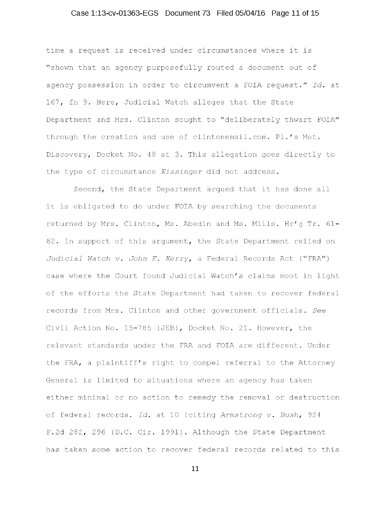## Case 1:13-cv-01363-EGS Document 73 Filed 05/04/16 Page 11 of 15

time a request is received under circumstances where it is "shown that an agency purposefully routed a document out of agency possession in order to circumvent a FOIA request." *Id.* at 167, fn 9. Here, Judicial Watch alleges that the State Department and Mrs. Clinton sought to "deliberately thwart FOIA" through the creation and use of clintonemail.com. Pl.'s Mot. Discovery, Docket No. 48 at 3. This allegation goes directly to the type of circumstance *Kissinger* did not address.

Second, the State Department argued that it has done all it is obligated to do under FOIA by searching the documents returned by Mrs. Clinton, Ms. Abedin and Ms. Mills. Hr'g Tr. 61- 62. In support of this argument, the State Department relied on *Judicial Watch* v. *John F. Kerry,* a Federal Records Act ("FRA") case where the Court found Judicial Watch's claims moot in light of the efforts the State Department had taken to recover federal records from Mrs. Clinton and other government officials. *See*  Civil Action No. 15-785 (JEB), Docket No. 21. However, the relevant standards under the FRA and FOIA are different. Under the FRA, a plaintiff's right to compel referral to the Attorney General is limited to situations where an agency has taken either minimal or no action to remedy the removal or destruction of federal records. *Id.* at 10 (citing *Armstrong* v. *Bush,* 924 F.2d 282, 296 (D.C. Cir. 1991). Although the State Department has taken some action to recover federal records related to this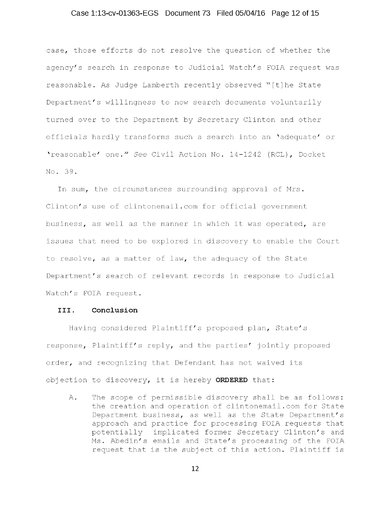## Case 1:13-cv-01363-EGS Document 73 Filed 05/04/16 Page 12 of 15

case, those efforts do not resolve the question of whether the agency's search in response to Judicial Watch's FOIA request was reasonable. As Judge Lamberth recently observed "[t]he State Department's willingness to now search documents voluntarily turned over to the Department by Secretary Clinton and other officials hardly transforms such a search into an 'adequate' or 'reasonable' one." *See* Civil Action No. 14-1242 (RCL), Docket No. 39.

In sum, the circumstances surrounding approval of Mrs. Clinton's use of clintonemail.com for official government business, as well as the manner in which it was operated, are issues that need to be explored in discovery to enable the Court to resolve, as a matter of law, the adequacy of the State Department's search of relevant records in response to Judicial Watch's FOIA request.

#### III. Conclusion

Having considered Plaintiff's proposed plan, State's response, Plaintiff's reply, and the parties' jointly proposed order, and recognizing that Defendant has not waived its objection to discovery, it is hereby ORDERED that:

A. The scope of permissible discovery shall be as follows: the creation and operation of clintonemail.com for State Department business, as well as the State Department's approach and practice for processing FOIA requests that potentially implicated former Secretary Clinton's and Ms. Abedin's emails and State's processing of the FOIA request that is the subject of this action. Plaintiff is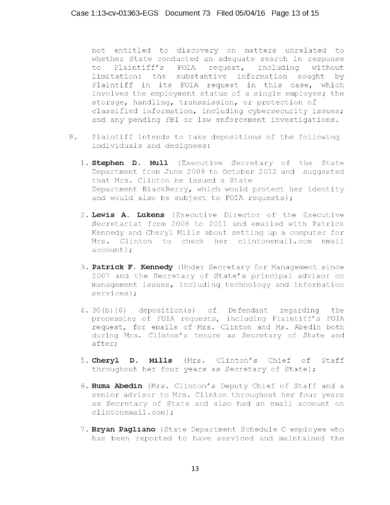not entitled to discovery on matters unrelated to whether State conducted an adequate search in response<br>to Plaintiff's FOIA request, including without to Plaintiff's FOIA request, including without limitation: the substantive information sought by Plaintiff in its FOIA request in this case, which involves the employment status of a single employee; the storage, handling, transmission, or protection of classified information, including cybersecurity issues; and any pending FBI or law enforcement investigations.

- B. Plaintiff intends to take depositions of the following individuals and designees:
	- 1. Stephen D. Mull (Executive Secretary of the State Department from June 2009 to October 2012 and suggested that Mrs. Clinton be issued a State Department BlackBerry, which would protect her identity and would also be subject to FOIA requests);
	- 2. Lewis A. Lukens (Executive Director of the Executive Secretariat from 2008 to 2011 and emailed with Patrick Kennedy and Cheryl Mills about setting up a computer for Mrs. Clinton to check her clintonemail.com email account):
	- 3. Patrick F. Kennedy (Under Secretary for Management since 2007 and the Secretary of State's principal advisor on management issues, including technology and information services);
	- 4. 30(b) (6) deposition(s) of Defendant regarding processing of FOIA requests, including Plaintiff's FOIA request, for emails of Mrs. Clinton and Ms. Abedin both during Mrs. Clinton's tenure as Secretary of State and after; the
	- 5. Cheryl D. Mills (Mrs. Clinton's Chief of Staff throughout her four years as Secretary of State);
	- 6. Huma Abedin (Mrs. Clinton's Deputy Chief of Staff and a senior advisor to Mrs. Clinton throughout her four years as Secretary of State and also had an email account on clintonemail.com);
	- 7. Bryan Pagliano (State Department Schedule C employee who has been reported to have serviced and maintained the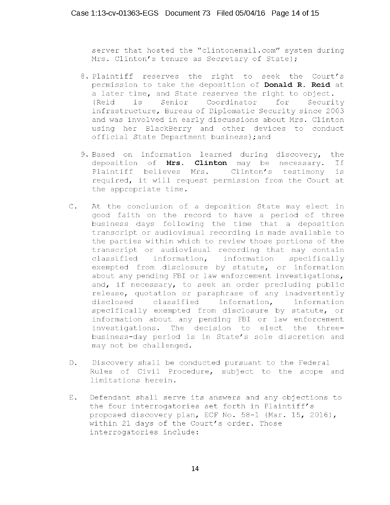server that hosted the "clintonemail.com" system during Mrs. Clinton's tenure as Secretary of State);

- 8. Plaintiff reserves the right to seek the Court's permission to take the deposition of **Donald R. Reid** at a later time, and State reserves the right to object.<br>(Reid is Senior Coordinator for Security Senior Coordinator infrastructure, Bureau of Diplomatic Security since 2003 and was involved in early discussions about Mrs. Clinton using her BlackBerry and other devices to conduct official State Department business);and
- 9. Based on information learned during discovery, the deposition of **Mrs. Clinton** may be necessary. Plaintiff believes Mrs. Clinton's testimony is If required, it will request permission from the Court at the appropriate time.
- C. At the conclusion of a deposition State may elect in good faith on the record to have a period of three business days following the time that a deposition transcript or audiovisual recording is made available to the parties within which to review those portions of the transcript or audiovisual recording that may contain classified information, information specifically exempted from disclosure by statute, or information about any pending FBI or law enforcement investigations, and, if necessary, to seek an order precluding public release, quotation or paraphrase of any inadvertently disclosed classified information, information specifically exempted from disclosure by statute, or information about any pending FBI or law enforcement investigations. The decision to elect the threebusiness-day period is in State's sole discretion and may not be challenged.
- D. Discovery shall be conducted pursuant to the Federal Rules of Civil Procedure, subject to the scope and limitations herein.
- E. Defendant shall serve its answers and any objections to the four interrogatories set forth in Plaintiff's proposed discovery plan, ECF No. 58-1 (Mar. 15, 2016), .<br>within 21 days of the Court's order. Those interrogatories include: